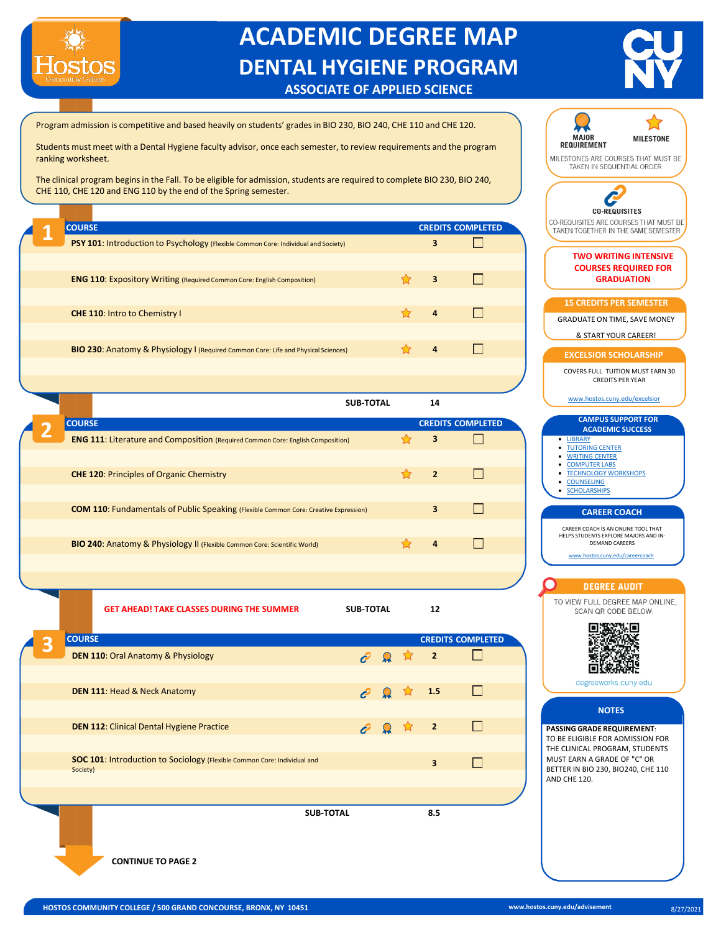

## **ACADEMIC DEGREE MAP DENTAL HYGIENE PROGRAM ASSOCIATE OF APPLIED SCIENCE**



Program admission is competitive and based heavily on students' grades in BIO 230, BIO 240, CHE 110 and CHE 120.

Students must meet with a Dental Hygiene faculty advisor, once each semester, to review requirements and the program ranking worksheet.

The clinical program begins in the Fall. To be eligible for admission, students are required to complete BIO 230, BIO 240, CHE 110, CHE 120 and ENG 110 by the end of the Spring semester.

|                                                                                           |   |                          | <b>CO-REQUISITES</b>                                          |
|-------------------------------------------------------------------------------------------|---|--------------------------|---------------------------------------------------------------|
| <b>COURSE</b>                                                                             |   | <b>CREDITS COMPLETED</b> | CO-REQUISITES ARE COURSES THA<br>TAKEN TOGETHER IN THE SAME ! |
| <b>PSY 101: Introduction to Psychology (Flexible Common Core: Individual and Society)</b> | 3 |                          |                                                               |
|                                                                                           |   |                          | <b>TWO WRITING INTE</b><br><b>COURSES REQUIREI</b>            |
| <b>ENG 110: Expository Writing (Required Common Core: English Composition)</b>            | 3 |                          | <b>GRADUATION</b>                                             |
|                                                                                           |   |                          | <b>15 CREDITS PER SEME:</b>                                   |
| <b>CHE 110: Intro to Chemistry I</b>                                                      | 4 | H                        | <b>GRADUATE ON TIME, SAVE I</b>                               |
|                                                                                           |   |                          | & START YOUR CAREE                                            |
| <b>BIO 230:</b> Anatomy & Physiology I (Required Common Core: Life and Physical Sciences) |   | $\Box$                   | <b>EXCELSIOR SCHOLARS</b>                                     |
|                                                                                           |   |                          | COVEDE EITH THITION MHCT                                      |

|               | SUB-IOIAL                                                                                   | 14 |                          |                                                                            |
|---------------|---------------------------------------------------------------------------------------------|----|--------------------------|----------------------------------------------------------------------------|
| <b>COURSE</b> |                                                                                             |    | <b>CREDITS COMPLETED</b> | <b>CAMPUS SUPPORT</b><br><b>ACADEMIC SUCCI</b>                             |
|               | <b>ENG 111: Literature and Composition (Required Common Core: English Composition)</b>      | 3  |                          | • LIBRARY<br>• TUTORING CENTER<br>• WRITING CENTER                         |
|               | <b>CHE 120: Principles of Organic Chemistry</b>                                             |    |                          | • COMPUTER LABS<br>• TECHNOLOGY WORKSHOP<br>• COUNSELING<br>• SCHOLARSHIPS |
|               | <b>COM 110:</b> Fundamentals of Public Speaking (Flexible Common Core: Creative Expression) | 3  |                          | <b>CAREER COACH</b>                                                        |
|               |                                                                                             |    |                          | CAREER COACH IS AN ONLINE TO<br>HELPS STUDENTS EXPLORE MAJOR               |
|               | <b>BIO 240:</b> Anatomy & Physiology II (Flexible Common Core: Scientific World)            | 4  |                          | <b>DEMAND CAREERS</b>                                                      |
|               |                                                                                             |    |                          | www.hostos.cuny.edu/careero                                                |

**GET AHEAD! TAKE CLASSES DURING THE SUMMER SUB-TOTAL 12 COURSE CREDITS COMPLETED 3 DEN 110**: Oral Anatomy & Physiology **2** □ **DEN 111**: Head & Neck Anatomy **1.5**  $\Box$  $\Box$ **DEN 112**: Clinical Dental Hygiene Practice **2 2 2 2 2 SOC 101: Introduction to Sociology (Flexible Common Core: Individual and**  $\Box$ **3** Society) **SUB-TOTAL 8.5**

**MAJOR MILESTONE REQUIREMENT** MILESTONES ARE COURSES THAT MUST BE TAKEN IN SEQUENTIAL ORDER C **CO-REQUISITES** CO-REQUISITES ARE COURSES THAT MUST BE TAKEN TOGETHER IN THE SAME SEMESTER **TWO WRITING INTENSIVE COURSES REQUIRED FOR 15 CREDITS PER SEMESTER** GRADUATE ON TIME, SAVE MONEY & START YOUR CAREER! **EXCELSIOR SCHOLARSHIP** COVERS FULL TUITION MUST EARN 30 CREDITS PER YEAR [www.hostos.cuny.edu/excelsior](http://www.hostos.cuny.edu/excelsior) **CAMPUS SUPPORT FOR ACADEMIC SUCCESS** • LIBRARY **[TUTORING](https://apps.hostos.cuny.edu/halc/) CENTER** • [WRITING](https://commons.hostos.cuny.edu/writingcenter/) CENTER **[COMPUTER](https://www.hostos.cuny.edu/Administrative-Offices/Information-Technology/SCC/Open-Computer-Lab) LABS** • [TECHNOLOGY](https://edtech.hostos.cuny.edu/Workshops/Home/Calendar?who=student) WORKSHOPS **[COUNSELING](https://www.hostos.cuny.edu/Administrative-Offices/SDEM/Counselling-Services) [SCHOLARSHIPS](https://hostos.academicworks.com/)** CAREER COACH IS AN ONLINE TOOL THAT HELPS STUDENTS EXPLORE MAJORS AND IN[www.hostos.cuny.edu/careercoach](http://www.hostos.cuny.edu/careercoach) **DEGREE AUDIT** TO VIEW FULL DEGREE MAP ONLINE. SCAN QR CODE BELOW: : 6 Пi 回绕条道 degreeworks.cuny.edu **NOTES PASSING GRADE REQUIREMENT**: TO BE ELIGIBLE FOR ADMISSION FOR THE CLINICAL PROGRAM, STUDENTS MUST EARN A GRADE OF "C" OR BETTER IN BIO 230, BIO240, CHE 110 AND CHE 120.

**CONTINUE TO PAGE 2**